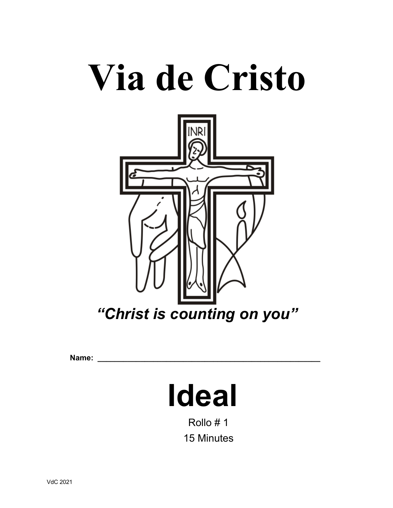# **Via de Cristo**



**Name: \_\_\_\_\_\_\_\_\_\_\_\_\_\_\_\_\_\_\_\_\_\_\_\_\_\_\_\_\_\_\_\_\_\_\_\_\_\_\_\_\_\_\_\_\_\_\_\_\_\_\_\_**

# **Ideal**

Rollo # 1 15 Minutes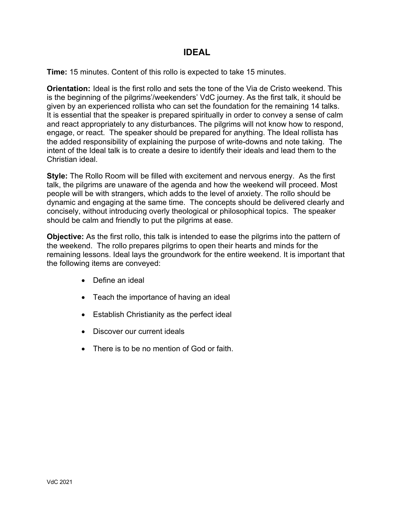# **IDEAL**

**Time:** 15 minutes. Content of this rollo is expected to take 15 minutes.

**Orientation:** Ideal is the first rollo and sets the tone of the Via de Cristo weekend. This is the beginning of the pilgrims'/weekenders' VdC journey. As the first talk, it should be given by an experienced rollista who can set the foundation for the remaining 14 talks. It is essential that the speaker is prepared spiritually in order to convey a sense of calm and react appropriately to any disturbances. The pilgrims will not know how to respond, engage, or react. The speaker should be prepared for anything. The Ideal rollista has the added responsibility of explaining the purpose of write-downs and note taking. The intent of the Ideal talk is to create a desire to identify their ideals and lead them to the Christian ideal.

**Style:** The Rollo Room will be filled with excitement and nervous energy. As the first talk, the pilgrims are unaware of the agenda and how the weekend will proceed. Most people will be with strangers, which adds to the level of anxiety. The rollo should be dynamic and engaging at the same time. The concepts should be delivered clearly and concisely, without introducing overly theological or philosophical topics. The speaker should be calm and friendly to put the pilgrims at ease.

**Objective:** As the first rollo, this talk is intended to ease the pilgrims into the pattern of the weekend. The rollo prepares pilgrims to open their hearts and minds for the remaining lessons. Ideal lays the groundwork for the entire weekend. It is important that the following items are conveyed:

- Define an ideal
- Teach the importance of having an ideal
- Establish Christianity as the perfect ideal
- Discover our current ideals
- There is to be no mention of God or faith.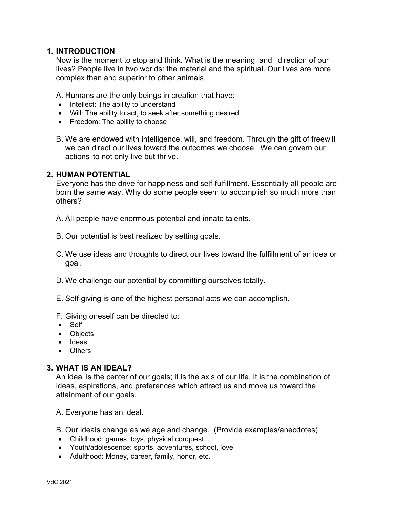#### **1. INTRODUCTION**

Now is the moment to stop and think. What is the meaning and direction of our lives? People live in two worlds: the material and the spiritual. Our lives are more complex than and superior to other animals.

A. Humans are the only beings in creation that have:

- Intellect: The ability to understand
- Will: The ability to act, to seek after something desired
- Freedom: The ability to choose
- B. We are endowed with intelligence, will, and freedom. Through the gift of freewill we can direct our lives toward the outcomes we choose. We can govern our actions to not only live but thrive.

#### **2. HUMAN POTENTIAL**

Everyone has the drive for happiness and self-fulfillment. Essentially all people are born the same way. Why do some people seem to accomplish so much more than others?

- A. All people have enormous potential and innate talents.
- B. Our potential is best realized by setting goals.
- C. We use ideas and thoughts to direct our lives toward the fulfillment of an idea or goal.
- D. We challenge our potential by committing ourselves totally.
- E. Self-giving is one of the highest personal acts we can accomplish.
- F. Giving oneself can be directed to:
- Self
- Objects
- Ideas
- Others

#### **3. WHAT IS AN IDEAL?**

An ideal is the center of our goals; it is the axis of our life. It is the combination of ideas, aspirations, and preferences which attract us and move us toward the attainment of our goals.

A. Everyone has an ideal.

- B. Our ideals change as we age and change. (Provide examples/anecdotes)
- Childhood: games, toys, physical conquest...
- Youth/adolescence: sports, adventures, school, love
- Adulthood: Money, career, family, honor, etc.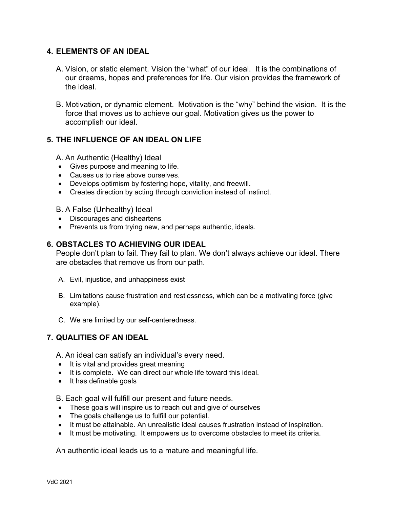# **4. ELEMENTS OF AN IDEAL**

- A. Vision, or static element. Vision the "what" of our ideal. It is the combinations of our dreams, hopes and preferences for life. Our vision provides the framework of the ideal.
- B. Motivation, or dynamic element. Motivation is the "why" behind the vision. It is the force that moves us to achieve our goal. Motivation gives us the power to accomplish our ideal.

# **5. THE INFLUENCE OF AN IDEAL ON LIFE**

A. An Authentic (Healthy) Ideal

- Gives purpose and meaning to life.
- Causes us to rise above ourselves.
- Develops optimism by fostering hope, vitality, and freewill.
- Creates direction by acting through conviction instead of instinct.

#### B. A False (Unhealthy) Ideal

- Discourages and disheartens
- Prevents us from trying new, and perhaps authentic, ideals.

#### **6. OBSTACLES TO ACHIEVING OUR IDEAL**

People don't plan to fail. They fail to plan. We don't always achieve our ideal. There are obstacles that remove us from our path.

- A. Evil, injustice, and unhappiness exist
- B. Limitations cause frustration and restlessness, which can be a motivating force (give example).
- C. We are limited by our self-centeredness.

# **7. QUALITIES OF AN IDEAL**

A. An ideal can satisfy an individual's every need.

- It is vital and provides great meaning
- It is complete. We can direct our whole life toward this ideal.
- It has definable goals

B. Each goal will fulfill our present and future needs.

- These goals will inspire us to reach out and give of ourselves
- The goals challenge us to fulfill our potential.
- It must be attainable. An unrealistic ideal causes frustration instead of inspiration.
- It must be motivating. It empowers us to overcome obstacles to meet its criteria.

An authentic ideal leads us to a mature and meaningful life.